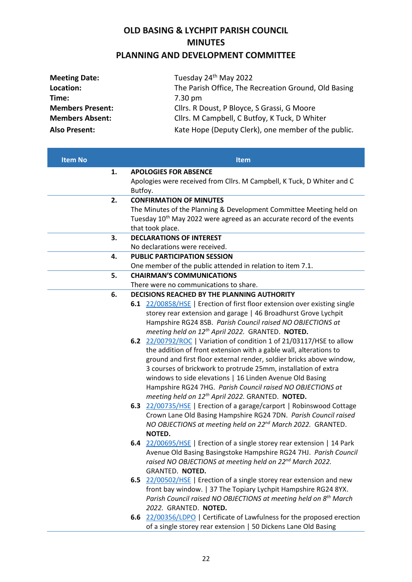## **OLD BASING & LYCHPIT PARISH COUNCIL MINUTES PLANNING AND DEVELOPMENT COMMITTEE**

| <b>Meeting Date:</b>    | Tuesday 24 <sup>th</sup> May 2022                    |  |  |
|-------------------------|------------------------------------------------------|--|--|
| Location:               | The Parish Office, The Recreation Ground, Old Basing |  |  |
| Time:                   | $7.30 \text{ pm}$                                    |  |  |
| <b>Members Present:</b> | Cllrs. R Doust, P Bloyce, S Grassi, G Moore          |  |  |
| <b>Members Absent:</b>  | Cllrs. M Campbell, C Butfoy, K Tuck, D Whiter        |  |  |
| <b>Also Present:</b>    | Kate Hope (Deputy Clerk), one member of the public.  |  |  |

| <b>Item No</b> |    | <b>Item</b>                                                                                                                              |                                                                                   |  |
|----------------|----|------------------------------------------------------------------------------------------------------------------------------------------|-----------------------------------------------------------------------------------|--|
|                | 1. |                                                                                                                                          | <b>APOLOGIES FOR ABSENCE</b>                                                      |  |
|                |    |                                                                                                                                          | Apologies were received from Cllrs. M Campbell, K Tuck, D Whiter and C            |  |
|                |    | Butfoy.                                                                                                                                  |                                                                                   |  |
|                | 2. | <b>CONFIRMATION OF MINUTES</b>                                                                                                           |                                                                                   |  |
|                |    | The Minutes of the Planning & Development Committee Meeting held on                                                                      |                                                                                   |  |
|                |    |                                                                                                                                          | Tuesday 10 <sup>th</sup> May 2022 were agreed as an accurate record of the events |  |
|                |    |                                                                                                                                          | that took place.                                                                  |  |
|                | 3. | <b>DECLARATIONS OF INTEREST</b>                                                                                                          |                                                                                   |  |
|                |    | No declarations were received.                                                                                                           |                                                                                   |  |
|                | 4. |                                                                                                                                          | <b>PUBLIC PARTICIPATION SESSION</b>                                               |  |
|                |    |                                                                                                                                          | One member of the public attended in relation to item 7.1.                        |  |
|                | 5. |                                                                                                                                          | <b>CHAIRMAN'S COMMUNICATIONS</b>                                                  |  |
|                |    |                                                                                                                                          | There were no communications to share.                                            |  |
|                | 6. | DECISIONS REACHED BY THE PLANNING AUTHORITY                                                                                              |                                                                                   |  |
|                |    |                                                                                                                                          | 6.1 22/00858/HSE   Erection of first floor extension over existing single         |  |
|                |    |                                                                                                                                          | storey rear extension and garage   46 Broadhurst Grove Lychpit                    |  |
|                |    |                                                                                                                                          | Hampshire RG24 8SB. Parish Council raised NO OBJECTIONS at                        |  |
|                |    |                                                                                                                                          | meeting held on 12 <sup>th</sup> April 2022. GRANTED. NOTED.                      |  |
|                |    |                                                                                                                                          | 6.2 22/00792/ROC   Variation of condition 1 of 21/03117/HSE to allow              |  |
|                |    |                                                                                                                                          | the addition of front extension with a gable wall, alterations to                 |  |
|                |    |                                                                                                                                          | ground and first floor external render, soldier bricks above window,              |  |
|                |    | 3 courses of brickwork to protrude 25mm, installation of extra                                                                           |                                                                                   |  |
|                |    |                                                                                                                                          | windows to side elevations   16 Linden Avenue Old Basing                          |  |
|                |    | Hampshire RG24 7HG. Parish Council raised NO OBJECTIONS at                                                                               |                                                                                   |  |
|                |    |                                                                                                                                          | meeting held on 12 <sup>th</sup> April 2022. GRANTED. NOTED.                      |  |
|                |    |                                                                                                                                          | 6.3 22/00735/HSE   Erection of a garage/carport   Robinswood Cottage              |  |
|                |    |                                                                                                                                          | Crown Lane Old Basing Hampshire RG24 7DN. Parish Council raised                   |  |
|                |    |                                                                                                                                          | NO OBJECTIONS at meeting held on 22 <sup>nd</sup> March 2022. GRANTED.            |  |
|                |    | NOTED.                                                                                                                                   |                                                                                   |  |
|                |    |                                                                                                                                          | 6.4 22/00695/HSE   Erection of a single storey rear extension   14 Park           |  |
|                |    | Avenue Old Basing Basingstoke Hampshire RG24 7HJ. Parish Council<br>raised NO OBJECTIONS at meeting held on 22 <sup>nd</sup> March 2022. |                                                                                   |  |
|                |    |                                                                                                                                          |                                                                                   |  |
|                |    |                                                                                                                                          | GRANTED. NOTED.                                                                   |  |
|                |    |                                                                                                                                          | 6.5 22/00502/HSE   Erection of a single storey rear extension and new             |  |
|                |    |                                                                                                                                          | front bay window.   37 The Topiary Lychpit Hampshire RG24 8YX.                    |  |
|                |    |                                                                                                                                          | Parish Council raised NO OBJECTIONS at meeting held on 8 <sup>th</sup> March      |  |
|                |    |                                                                                                                                          | 2022. GRANTED. NOTED.                                                             |  |
|                |    |                                                                                                                                          | 6.6 22/00356/LDPO   Certificate of Lawfulness for the proposed erection           |  |
|                |    |                                                                                                                                          | of a single storey rear extension   50 Dickens Lane Old Basing                    |  |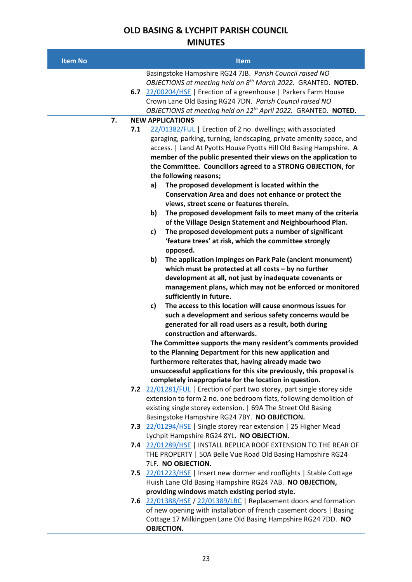## **OLD BASING & LYCHPIT PARISH COUNCIL MINUTES**

| <b>Item No</b> | <b>Item</b>                                                                                                                                                                                                                                                                                                                                                                                                                                                                             |  |
|----------------|-----------------------------------------------------------------------------------------------------------------------------------------------------------------------------------------------------------------------------------------------------------------------------------------------------------------------------------------------------------------------------------------------------------------------------------------------------------------------------------------|--|
|                | Basingstoke Hampshire RG24 7JB. Parish Council raised NO<br>OBJECTIONS at meeting held on 8 <sup>th</sup> March 2022. GRANTED. NOTED.<br>6.7 22/00204/HSE   Erection of a greenhouse   Parkers Farm House<br>Crown Lane Old Basing RG24 7DN. Parish Council raised NO<br>OBJECTIONS at meeting held on 12 <sup>th</sup> April 2022. GRANTED. NOTED.                                                                                                                                     |  |
| 7.             | <b>NEW APPLICATIONS</b>                                                                                                                                                                                                                                                                                                                                                                                                                                                                 |  |
| 7.1            | 22/01382/FUL   Erection of 2 no. dwellings; with associated<br>garaging, parking, turning, landscaping, private amenity space, and<br>access.   Land At Pyotts House Pyotts Hill Old Basing Hampshire. A<br>member of the public presented their views on the application to<br>the Committee. Councillors agreed to a STRONG OBJECTION, for<br>the following reasons;<br>The proposed development is located within the<br>a)<br>Conservation Area and does not enhance or protect the |  |
|                | views, street scene or features therein.<br>The proposed development fails to meet many of the criteria<br>b)<br>of the Village Design Statement and Neighbourhood Plan.<br>The proposed development puts a number of significant<br>c)<br>'feature trees' at risk, which the committee strongly<br>opposed.                                                                                                                                                                            |  |
|                | The application impinges on Park Pale (ancient monument)<br>b)<br>which must be protected at all costs $-$ by no further<br>development at all, not just by inadequate covenants or<br>management plans, which may not be enforced or monitored<br>sufficiently in future.                                                                                                                                                                                                              |  |
|                | The access to this location will cause enormous issues for<br>c)<br>such a development and serious safety concerns would be<br>generated for all road users as a result, both during<br>construction and afterwards.                                                                                                                                                                                                                                                                    |  |
|                | The Committee supports the many resident's comments provided<br>to the Planning Department for this new application and                                                                                                                                                                                                                                                                                                                                                                 |  |
|                | furthermore reiterates that, having already made two                                                                                                                                                                                                                                                                                                                                                                                                                                    |  |
|                | unsuccessful applications for this site previously, this proposal is                                                                                                                                                                                                                                                                                                                                                                                                                    |  |
|                | completely inappropriate for the location in question.                                                                                                                                                                                                                                                                                                                                                                                                                                  |  |
|                | 7.2 22/01281/FUL   Erection of part two storey, part single storey side<br>extension to form 2 no. one bedroom flats, following demolition of<br>existing single storey extension.   69A The Street Old Basing<br>Basingstoke Hampshire RG24 7BY. NO OBJECTION.                                                                                                                                                                                                                         |  |
|                | 7.3 22/01294/HSE   Single storey rear extension   25 Higher Mead                                                                                                                                                                                                                                                                                                                                                                                                                        |  |
|                | Lychpit Hampshire RG24 8YL. NO OBJECTION.                                                                                                                                                                                                                                                                                                                                                                                                                                               |  |
|                | 7.4 22/01289/HSE   INSTALL REPLICA ROOF EXTENSION TO THE REAR OF<br>THE PROPERTY   50A Belle Vue Road Old Basing Hampshire RG24<br>7LF. NO OBJECTION.                                                                                                                                                                                                                                                                                                                                   |  |
|                | 7.5 22/01223/HSE   Insert new dormer and rooflights   Stable Cottage<br>Huish Lane Old Basing Hampshire RG24 7AB. NO OBJECTION,<br>providing windows match existing period style.                                                                                                                                                                                                                                                                                                       |  |
|                | 7.6 22/01388/HSE / 22/01389/LBC   Replacement doors and formation<br>of new opening with installation of french casement doors   Basing<br>Cottage 17 Milkingpen Lane Old Basing Hampshire RG24 7DD. NO<br><b>OBJECTION.</b>                                                                                                                                                                                                                                                            |  |